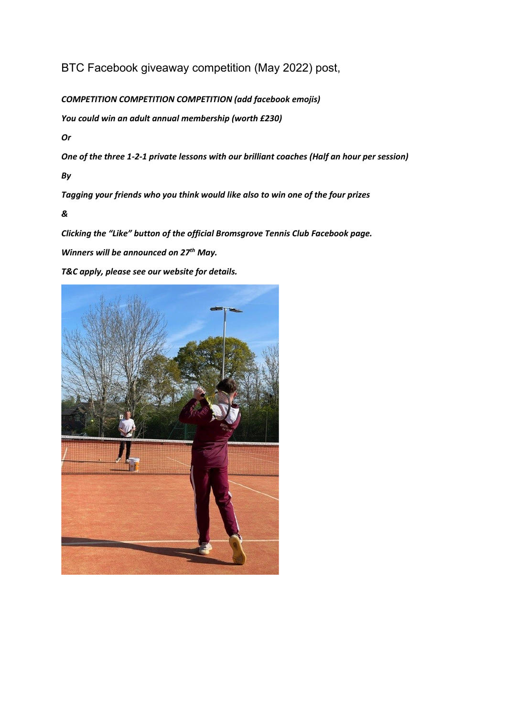BTC Facebook giveaway competition (May 2022) post,

*COMPETITION COMPETITION COMPETITION (add facebook emojis)*

*You could win an adult annual membership (worth £230)*

*Or* 

*One of the three 1-2-1 private lessons with our brilliant coaches (Half an hour per session)*

*By*

*Tagging your friends who you think would like also to win one of the four prizes*

*&* 

*Clicking the "Like" button of the official Bromsgrove Tennis Club Facebook page.*

*Winners will be announced on 27th May.*

*T&C apply, please see our website for details.*

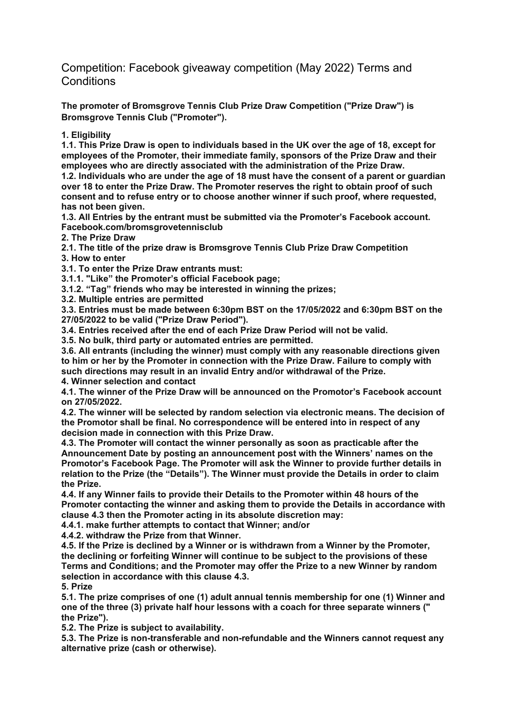Competition: Facebook giveaway competition (May 2022) Terms and **Conditions** 

**The promoter of Bromsgrove Tennis Club Prize Draw Competition ("Prize Draw") is Bromsgrove Tennis Club ("Promoter").**

**1. Eligibility**

**1.1. This Prize Draw is open to individuals based in the UK over the age of 18, except for employees of the Promoter, their immediate family, sponsors of the Prize Draw and their employees who are directly associated with the administration of the Prize Draw.**

**1.2. Individuals who are under the age of 18 must have the consent of a parent or guardian over 18 to enter the Prize Draw. The Promoter reserves the right to obtain proof of such consent and to refuse entry or to choose another winner if such proof, where requested, has not been given.**

**1.3. All Entries by the entrant must be submitted via the Promoter's Facebook account. Facebook.com/bromsgrovetennisclub**

**2. The Prize Draw**

**2.1. The title of the prize draw is Bromsgrove Tennis Club Prize Draw Competition 3. How to enter**

**3.1. To enter the Prize Draw entrants must:**

**3.1.1. "Like" the Promoter's official Facebook page;**

**3.1.2. "Tag" friends who may be interested in winning the prizes;**

**3.2. Multiple entries are permitted**

**3.3. Entries must be made between 6:30pm BST on the 17/05/2022 and 6:30pm BST on the 27/05/2022 to be valid ("Prize Draw Period").** 

**3.4. Entries received after the end of each Prize Draw Period will not be valid.**

**3.5. No bulk, third party or automated entries are permitted.**

**3.6. All entrants (including the winner) must comply with any reasonable directions given to him or her by the Promoter in connection with the Prize Draw. Failure to comply with such directions may result in an invalid Entry and/or withdrawal of the Prize.**

**4. Winner selection and contact**

**4.1. The winner of the Prize Draw will be announced on the Promotor's Facebook account on 27/05/2022.**

**4.2. The winner will be selected by random selection via electronic means. The decision of the Promotor shall be final. No correspondence will be entered into in respect of any decision made in connection with this Prize Draw.**

**4.3. The Promoter will contact the winner personally as soon as practicable after the Announcement Date by posting an announcement post with the Winners' names on the Promotor's Facebook Page. The Promoter will ask the Winner to provide further details in relation to the Prize (the "Details"). The Winner must provide the Details in order to claim the Prize.**

**4.4. If any Winner fails to provide their Details to the Promoter within 48 hours of the Promoter contacting the winner and asking them to provide the Details in accordance with clause 4.3 then the Promoter acting in its absolute discretion may:**

**4.4.1. make further attempts to contact that Winner; and/or**

**4.4.2. withdraw the Prize from that Winner.**

**4.5. If the Prize is declined by a Winner or is withdrawn from a Winner by the Promoter, the declining or forfeiting Winner will continue to be subject to the provisions of these Terms and Conditions; and the Promoter may offer the Prize to a new Winner by random selection in accordance with this clause 4.3.**

**5. Prize**

**5.1. The prize comprises of one (1) adult annual tennis membership for one (1) Winner and one of the three (3) private half hour lessons with a coach for three separate winners (" the Prize").**

**5.2. The Prize is subject to availability.**

**5.3. The Prize is non-transferable and non-refundable and the Winners cannot request any alternative prize (cash or otherwise).**